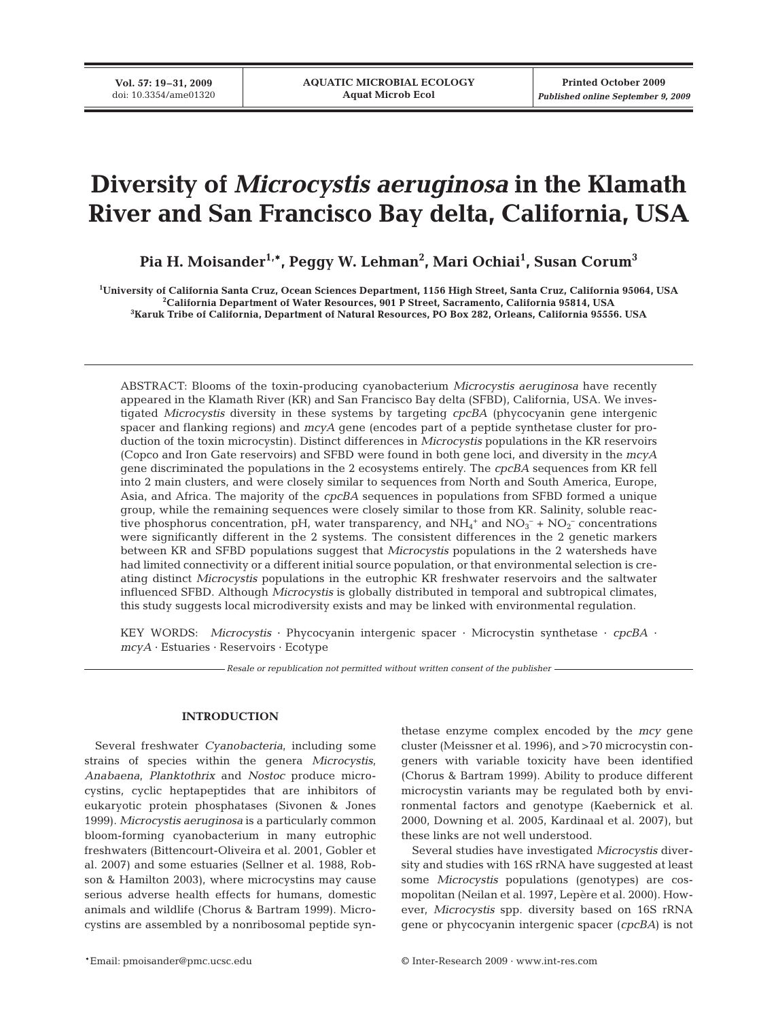# **Diversity of** *Microcystis aeruginosa* **in the Klamath River and San Francisco Bay delta, California, USA**

**Pia H. Moisander1,\*, Peggy W. Lehman2 , Mari Ochiai1 , Susan Corum3**

**1 University of California Santa Cruz, Ocean Sciences Department, 1156 High Street, Santa Cruz, California 95064, USA 2 California Department of Water Resources, 901 P Street, Sacramento, California 95814, USA 3 Karuk Tribe of California, Department of Natural Resources, PO Box 282, Orleans, California 95556. USA**

ABSTRACT: Blooms of the toxin-producing cyanobacterium *Microcystis aeruginosa* have recently appeared in the Klamath River (KR) and San Francisco Bay delta (SFBD), California, USA. We investigated *Microcystis* diversity in these systems by targeting *cpcBA* (phycocyanin gene intergenic spacer and flanking regions) and *mcyA* gene (encodes part of a peptide synthetase cluster for production of the toxin microcystin). Distinct differences in *Microcystis* populations in the KR reservoirs (Copco and Iron Gate reservoirs) and SFBD were found in both gene loci, and diversity in the *mcyA* gene discriminated the populations in the 2 ecosystems entirely. The *cpcBA* sequences from KR fell into 2 main clusters, and were closely similar to sequences from North and South America, Europe, Asia, and Africa. The majority of the *cpcBA* sequences in populations from SFBD formed a unique group, while the remaining sequences were closely similar to those from KR. Salinity, soluble reactive phosphorus concentration, pH, water transparency, and  $NH_4^+$  and  $NO_3^- + NO_2^-$  concentrations were significantly different in the 2 systems. The consistent differences in the 2 genetic markers between KR and SFBD populations suggest that *Microcystis* populations in the 2 watersheds have had limited connectivity or a different initial source population, or that environmental selection is creating distinct *Microcystis* populations in the eutrophic KR freshwater reservoirs and the saltwater influenced SFBD. Although *Microcystis* is globally distributed in temporal and subtropical climates, this study suggests local microdiversity exists and may be linked with environmental regulation.

KEY WORDS: *Microcystis* · Phycocyanin intergenic spacer · Microcystin synthetase · *cpcBA* · *mcyA* · Estuaries · Reservoirs · Ecotype

*Resale or republication not permitted without written consent of the publisher*

## **INTRODUCTION**

Several freshwater *Cyanobacteria*, including some strains of species within the genera *Microcystis*, *Anabaena*, *Planktothrix* and *Nostoc* produce microcystins, cyclic heptapeptides that are inhibitors of eukaryotic protein phosphatases (Sivonen & Jones 1999). *Microcystis aeruginosa* is a particularly common bloom-forming cyanobacterium in many eutrophic freshwaters (Bittencourt-Oliveira et al. 2001, Gobler et al. 2007) and some estuaries (Sellner et al. 1988, Robson & Hamilton 2003), where microcystins may cause serious adverse health effects for humans, domestic animals and wildlife (Chorus & Bartram 1999). Microcystins are assembled by a nonribosomal peptide synthetase enzyme complex encoded by the *mcy* gene cluster (Meissner et al. 1996), and >70 microcystin congeners with variable toxicity have been identified (Chorus & Bartram 1999). Ability to produce different microcystin variants may be regulated both by environmental factors and genotype (Kaebernick et al. 2000, Downing et al. 2005, Kardinaal et al. 2007), but these links are not well understood.

Several studies have investigated *Microcystis* diversity and studies with 16S rRNA have suggested at least some *Microcystis* populations (genotypes) are cosmopolitan (Neilan et al. 1997, Lepère et al. 2000). However, *Microcystis* spp. diversity based on 16S rRNA gene or phycocyanin intergenic spacer (*cpcBA*) is not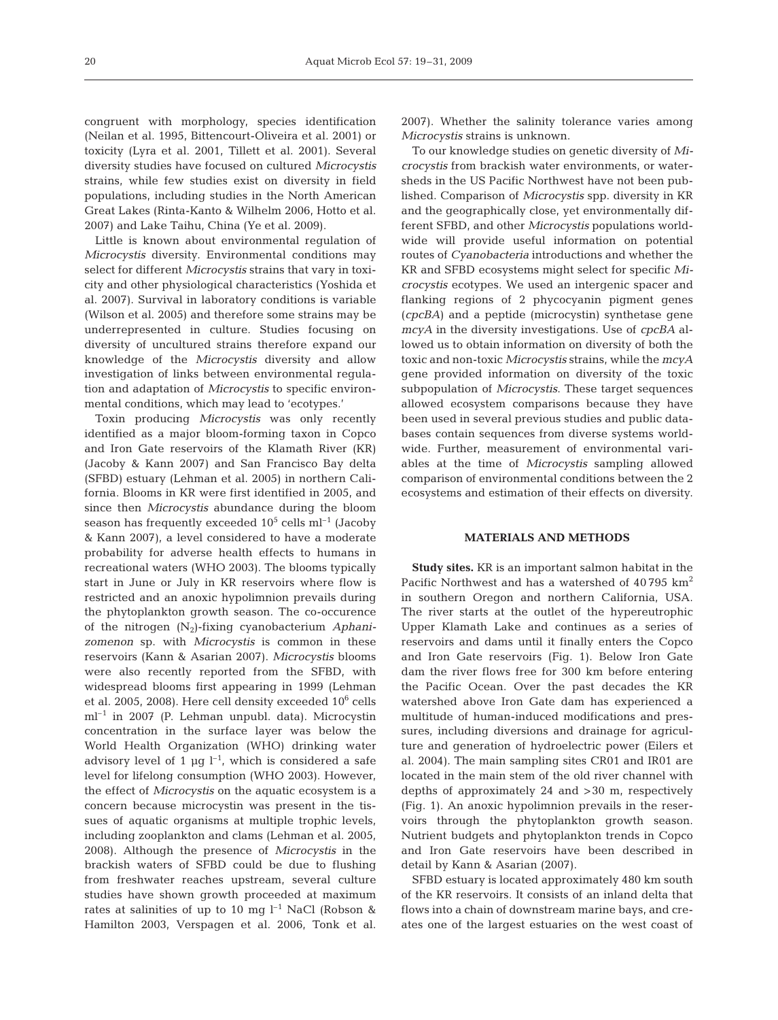congruent with morphology, species identification (Neilan et al. 1995, Bittencourt-Oliveira et al. 2001) or toxicity (Lyra et al. 2001, Tillett et al. 2001). Several diversity studies have focused on cultured *Microcystis* strains, while few studies exist on diversity in field populations, including studies in the North American Great Lakes (Rinta-Kanto & Wilhelm 2006, Hotto et al. 2007) and Lake Taihu, China (Ye et al. 2009).

Little is known about environmental regulation of *Microcystis* diversity. Environmental conditions may select for different *Microcystis* strains that vary in toxicity and other physiological characteristics (Yoshida et al. 2007). Survival in laboratory conditions is variable (Wilson et al. 2005) and therefore some strains may be underrepresented in culture. Studies focusing on diversity of uncultured strains therefore expand our knowledge of the *Microcystis* diversity and allow investigation of links between environmental regulation and adaptation of *Microcystis* to specific environmental conditions, which may lead to 'ecotypes.'

Toxin producing *Microcystis* was only recently identified as a major bloom-forming taxon in Copco and Iron Gate reservoirs of the Klamath River (KR) (Jacoby & Kann 2007) and San Francisco Bay delta (SFBD) estuary (Lehman et al. 2005) in northern California. Blooms in KR were first identified in 2005, and since then *Microcystis* abundance during the bloom season has frequently exceeded  $10^5$  cells ml<sup>-1</sup> (Jacoby & Kann 2007), a level considered to have a moderate probability for adverse health effects to humans in recreational waters (WHO 2003). The blooms typically start in June or July in KR reservoirs where flow is restricted and an anoxic hypolimnion prevails during the phytoplankton growth season. The co-occurence of the nitrogen (N2)-fixing cyanobacterium *Aphanizomenon* sp. with *Microcystis* is common in these reservoirs (Kann & Asarian 2007). *Microcystis* blooms were also recently reported from the SFBD, with widespread blooms first appearing in 1999 (Lehman et al. 2005, 2008). Here cell density exceeded  $10^6$  cells ml–1 in 2007 (P. Lehman unpubl. data). Microcystin concentration in the surface layer was below the World Health Organization (WHO) drinking water advisory level of 1  $\mu$ g l<sup>-1</sup>, which is considered a safe level for lifelong consumption (WHO 2003). However, the effect of *Microcystis* on the aquatic ecosystem is a concern because microcystin was present in the tissues of aquatic organisms at multiple trophic levels, including zooplankton and clams (Lehman et al. 2005, 2008). Although the presence of *Microcystis* in the brackish waters of SFBD could be due to flushing from freshwater reaches upstream, several culture studies have shown growth proceeded at maximum rates at salinities of up to 10 mg  $l^{-1}$  NaCl (Robson & Hamilton 2003, Verspagen et al. 2006, Tonk et al.

2007). Whether the salinity tolerance varies among *Microcystis* strains is unknown.

To our knowledge studies on genetic diversity of *Microcystis* from brackish water environments, or watersheds in the US Pacific Northwest have not been published. Comparison of *Microcystis* spp. diversity in KR and the geographically close, yet environmentally different SFBD, and other *Microcystis* populations worldwide will provide useful information on potential routes of *Cyanobacteria* introductions and whether the KR and SFBD ecosystems might select for specific *Microcystis* ecotypes. We used an intergenic spacer and flanking regions of 2 phycocyanin pigment genes (*cpcBA*) and a peptide (microcystin) synthetase gene *mcyA* in the diversity investigations. Use of *cpcBA* allowed us to obtain information on diversity of both the toxic and non-toxic *Microcystis* strains, while the *mcyA* gene provided information on diversity of the toxic subpopulation of *Microcystis*. These target sequences allowed ecosystem comparisons because they have been used in several previous studies and public databases contain sequences from diverse systems worldwide. Further, measurement of environmental variables at the time of *Microcystis* sampling allowed comparison of environmental conditions between the 2 ecosystems and estimation of their effects on diversity.

## **MATERIALS AND METHODS**

**Study sites.** KR is an important salmon habitat in the Pacific Northwest and has a watershed of 40795 km<sup>2</sup> in southern Oregon and northern California, USA. The river starts at the outlet of the hypereutrophic Upper Klamath Lake and continues as a series of reservoirs and dams until it finally enters the Copco and Iron Gate reservoirs (Fig. 1). Below Iron Gate dam the river flows free for 300 km before entering the Pacific Ocean. Over the past decades the KR watershed above Iron Gate dam has experienced a multitude of human-induced modifications and pressures, including diversions and drainage for agriculture and generation of hydroelectric power (Eilers et al. 2004). The main sampling sites CR01 and IR01 are located in the main stem of the old river channel with depths of approximately 24 and >30 m, respectively (Fig. 1). An anoxic hypolimnion prevails in the reservoirs through the phytoplankton growth season. Nutrient budgets and phytoplankton trends in Copco and Iron Gate reservoirs have been described in detail by Kann & Asarian (2007).

SFBD estuary is located approximately 480 km south of the KR reservoirs. It consists of an inland delta that flows into a chain of downstream marine bays, and creates one of the largest estuaries on the west coast of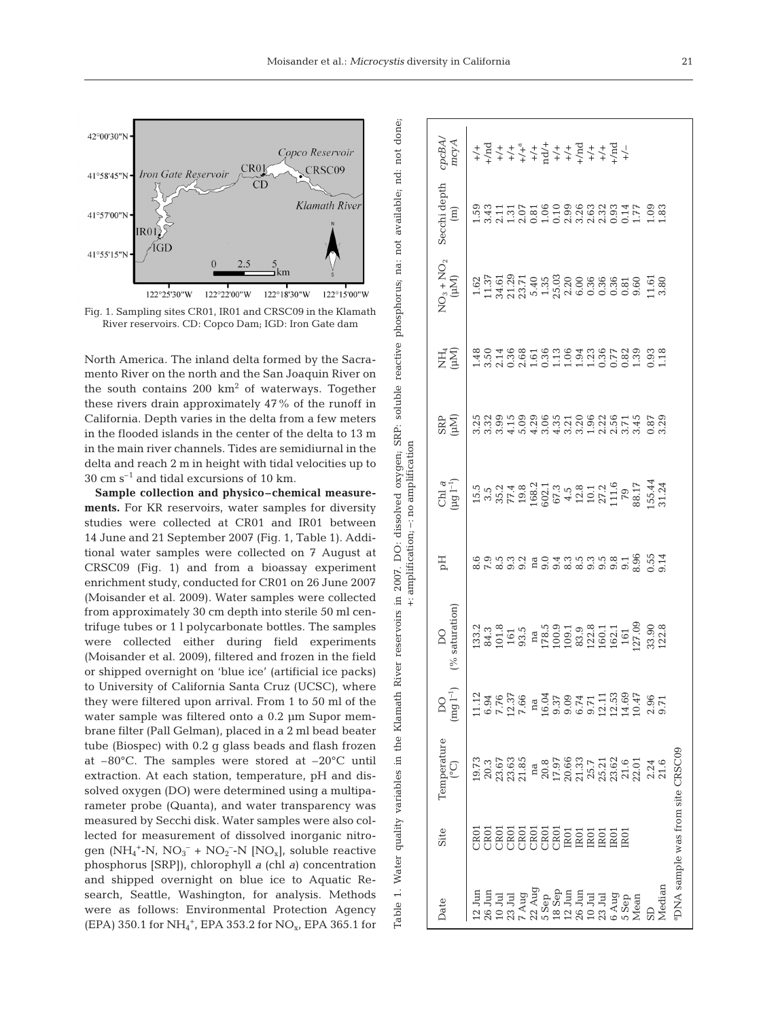

North America. The inland delta formed by the Sacramento River on the north and the San Joaquin River on the south contains  $200 \text{ km}^2$  of waterways. Together these rivers drain approximately 47% of the runoff in California. Depth varies in the delta from a few meters in the flooded islands in the center of the delta to 13 m in the main river channels. Tides are semidiurnal in the delta and reach 2 m in height with tidal velocities up to  $30 \text{ cm s}^{-1}$  and tidal excursions of 10 km.

**Sample collection and physico–chemical measurements.** For KR reservoirs, water samples for diversity studies were collected at CR01 and IR01 between 14 June and 21 September 2007 (Fig. 1, Table 1). Additional water samples were collected on 7 August at CRSC09 (Fig. 1) and from a bioassay experiment enrichment study, conducted for CR01 on 26 June 2007 (Moisander et al. 2009). Water samples were collected from approximately 30 cm depth into sterile 50 ml centrifuge tubes or 1 l polycarbonate bottles. The samples were collected either during field experiments (Moisander et al. 2009), filtered and frozen in the field or shipped overnight on 'blue ice' (artificial ice packs) to University of California Santa Cruz (UCSC), where they were filtered upon arrival. From 1 to 50 ml of the water sample was filtered onto a 0.2 µm Supor membrane filter (Pall Gelman), placed in a 2 ml bead beater tube (Biospec) with 0.2 g glass beads and flash frozen at –80°C. The samples were stored at –20°C until extraction. At each station, temperature, pH and dissolved oxygen (DO) were determined using a multiparameter probe (Quanta), and water transparency was measured by Secchi disk. Water samples were also collected for measurement of dissolved inorganic nitrogen (NH<sub>4</sub><sup>+</sup>-N, NO<sub>3</sub><sup>-</sup> + NO<sub>2</sub><sup>-</sup>-N [NO<sub>x</sub>], soluble reactive phosphorus [SRP]), chlorophyll *a* (chl *a*) concentration and shipped overnight on blue ice to Aquatic Research, Seattle, Washington, for analysis. Methods were as follows: Environmental Protection Agency (EPA) 350.1 for NH<sub>4</sub><sup>+</sup>, EPA 353.2 for NO<sub>x</sub>, EPA 365.1 for

 $cpcBA/$ Date Site Temperature DO DO pH Chl *a* SRP NH4 NO3 + NO2 Secchi depth *cpcBA*/ mcyA (°C) (mg l–1) (% saturation) (µg l–1) (µM) (µM) (µM) (m) *mcyA* 26 Jun CR01 20.3 6.94 84.3 7.9 3.5 3.32 3.50 11.37 3.43 +/nd  $26 \text{ Jun}$  IR01  $21.33$   $21.33$   $8.5$   $8.5$   $2.8$   $3.20$   $3.26$   $3.26$ 6 Aug 101 23.62 16.23 16.23 16.23 16.23 16.23 16.24 16.24 16.24 16.24 16.24 16.25 16.24 16.25 16.26 16.27 16.2 7 Aug CR01 21.85 7.66 93.5 9.2 19.8 5.09 2.68 23.71 2.07 +/+a 5 Sep CR01 20.8 16.04 178.5 9.0 602.1 3.06 0.36 1.35 1.06 nd/+ 12 Jun CR01 19.73 11.12 133.2 8.6 15.5 3.25 1.48 1.62 1.59 +/+ 10 Jul CR01 23.67 7.76 101.8 8.5 35.2 3.99 2.14 34.61 2.11 +/+ 23 Jul CR01 23.63 12.37 161 9.3 77.4 4.15 0.36 21.29 1.31 +/+ 22 Aug CR01 na na na na 168.2 4.29 1.61 5.40 0.81 +/+ 18 Sep CR01 17.97 9.37 100.9 9.4 67.3 4.35 1.13 25.03 0.10 +/+ 12 Jun IR01 20.66 9.09 109.1 8.3 4.5 3.21 1.06 2.20 2.99 +/+ 10 Jul IR01 25.7 9.71 122.8 9.3 10.1 1.96 1.23 0.36 2.63 +/+  $23$  Jul IR01  $25.21$   $25.21$   $11$   $10.1$   $27.2$   $22$   $0.36$   $0.36$   $0.36$   $2.32$ 5 Sep 14.69 12.01 21.6 14.69 14.69 14.69 14.69 14.69 14.69 14.69 14.69 14.69 14.69 14.69 14.69 14.69 14.69 14. Secchi depth THE 1999 SAMANTE 93<br>NHNOHONNONOOH HH  $(m)$ Mean 22.01 10.47 10.47 88.17 88.17 3.45 1.39 9.60 1.77 1.39 1.39 1.77 SD 2.24 2.96 33.90 0.55 155.44 0.87 0.87 0.93 11.61 1.1.61 Median 21.6 9.71 9.71 9.14 3.124 3.29 1.18 3.80 3.80  $\overline{O}_3 + \overline{NO}_2$  $(Mu)$  $\begin{array}{l} 16.75 \\ 17.77 \\ 18.77 \\ 19.78 \\ 19.79 \\ 19.79 \\ 19.79 \\ 19.79 \\ 19.79 \\ 19.79 \\ 19.79 \\ 19.79 \\ 19.79 \\ 19.79 \\ 19.79 \\ 19.79 \\ 19.79 \\ 19.79 \\ 19.79 \\ 19.79 \\ 19.79 \\ 19.79 \\ 19.79 \\ 19.79 \\ 19.79 \\ 19.79 \\ 19.79 \\ 19.79 \\ 19.79 \\ 19.79 \\ 19$  $\frac{1}{3}.\overline{80}$ E<br>E<br>E<br>E<br>E **CKR** +: amplification; -: no amplification +: amplification; –: no amplificationChl a<br> $(\mu g I^{-1})$ Ep connan do dinnano de 6 5 d<br>connan do dinnano de 6 5 d  $(%$  saturation) 27.09  $33.2  
\n 34.3  
\n 61  
\n 61$  $\begin{array}{l} \tt na\\ 178.5\\ 100.9\\ 100.1\\ 83.9\\ 122.8\\ 160.1\\ 162.1\\ 162.1\\ 161 \end{array}$ 33.90<br>122.8 93.5  $\infty$  $\overline{DQ}$ <br> $(\text{mg } I^{-1})$ Temperature PDNA sample was from site CRSC09 aDNA sample was from site CRSC09 23.67<br>23.63<br>21.85 20.8<br>17.95<br>20.66<br>21.37<br>21.51<br>21.52 21.6  $\frac{21.6}{22.01}$ 2.24 Õ na Site  $(2, 4)$ <br>  $(3, 8)$ <br>  $(5, 8)$ <br>  $(6, 8)$ <br>  $(7, 1)$ <br>  $(8, 1)$ <br>  $(1, 1)$ <br>  $(1, 1)$ <br>  $(1, 1)$ <br>  $(1, 1)$ <br>  $(1, 1)$ <br>  $(1, 1)$ <br>  $(1, 1)$ Median  $12$  Jun<br> $26$  Jun  $10\,\mathrm{J} \mathrm{u}$  23 Jul Aug 6 Aug 5 Sep<sup>2</sup><br>Mean Date

Fig. 1. Sampling sites CR01, IR01 and CRSC09 in the Klamath

Table 1. Water quality variables in the Klamath River reservoirs in 2007. DO: dissolved oxygen; SRP: soluble reactive phosphorus; na: not available; nd: not done;

Ö.

2007.

1. Water quality variables in the Klamath River reservoirs in

Table

dissolved oxygen;

SRP: soluble reactive phosphorus; na: not available; nd: not done;

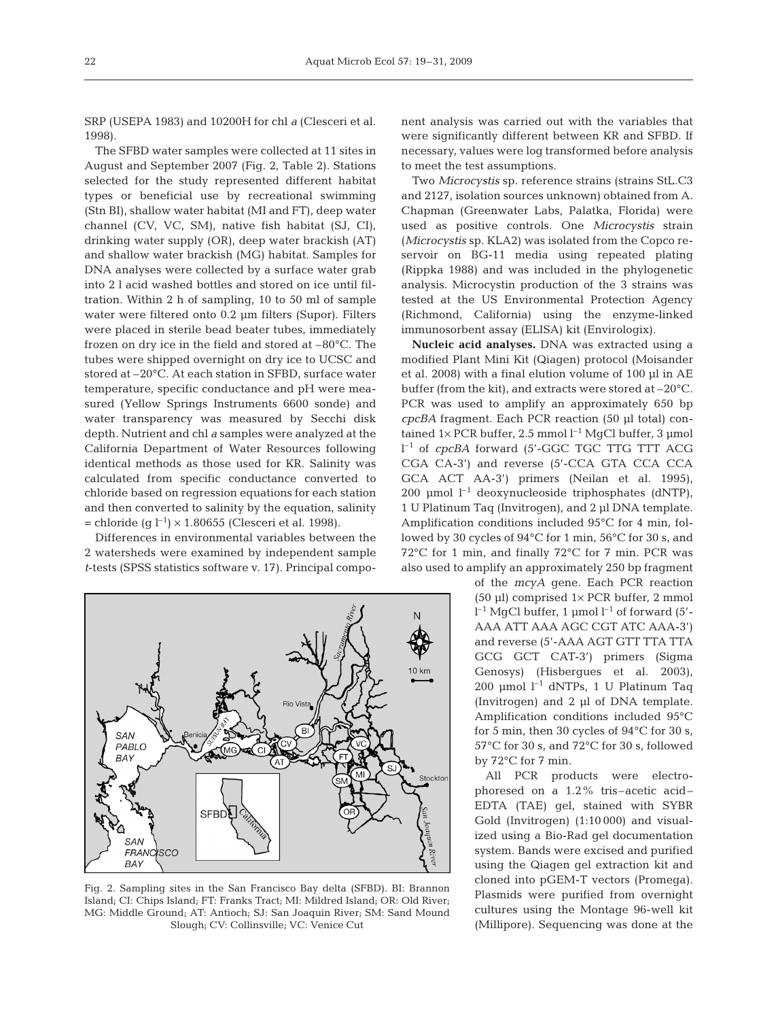SRP (USEPA 1983) and 10200H for chl *a* (Clesceri et al. 1998).

The SFBD water samples were collected at 11 sites in August and September 2007 (Fig. 2, Table 2). Stations selected for the study represented different habitat types or beneficial use by recreational swimming (Stn BI), shallow water habitat (MI and FT), deep water channel (CV, VC, SM), native fish habitat (SJ, CI), drinking water supply (OR), deep water brackish (AT) and shallow water brackish (MG) habitat. Samples for DNA analyses were collected by a surface water grab into 2 l acid washed bottles and stored on ice until filtration. Within 2 h of sampling, 10 to 50 ml of sample water were filtered onto 0.2 µm filters (Supor). Filters were placed in sterile bead beater tubes, immediately frozen on dry ice in the field and stored at –80°C. The tubes were shipped overnight on dry ice to UCSC and stored at –20°C. At each station in SFBD, surface water temperature, specific conductance and pH were measured (Yellow Springs Instruments 6600 sonde) and water transparency was measured by Secchi disk depth. Nutrient and chl *a* samples were analyzed at the California Department of Water Resources following identical methods as those used for KR. Salinity was calculated from specific conductance converted to chloride based on regression equations for each station and then converted to salinity by the equation, salinity = chloride (g  $l^{-1}$ ) × 1.80655 (Clesceri et al. 1998).

Differences in environmental variables between the 2 watersheds were examined by independent sample *t*-tests (SPSS statistics software v. 17). Principal compo-



Fig. 2. Sampling sites in the San Francisco Bay delta (SFBD). BI: Brannon Island; CI: Chips Island; FT: Franks Tract; MI: Mildred Island; OR: Old River; MG: Middle Ground; AT: Antioch; SJ: San Joaquin River; SM: Sand Mound Slough; CV: Collinsville; VC: Venice Cut

nent analysis was carried out with the variables that were significantly different between KR and SFBD. If necessary, values were log transformed before analysis to meet the test assumptions.

Two *Microcystis* sp. reference strains (strains StL.C3 and 2127, isolation sources unknown) obtained from A. Chapman (Greenwater Labs, Palatka, Florida) were used as positive controls. One *Microcystis* strain (*Microcystis* sp. KLA2) was isolated from the Copco reservoir on BG-11 media using repeated plating (Rippka 1988) and was included in the phylogenetic analysis. Microcystin production of the 3 strains was tested at the US Environmental Protection Agency (Richmond, California) using the enzyme-linked immunosorbent assay (ELISA) kit (Envirologix).

**Nucleic acid analyses.** DNA was extracted using a modified Plant Mini Kit (Qiagen) protocol (Moisander et al. 2008) with a final elution volume of 100 µl in AE buffer (from the kit), and extracts were stored at –20°C. PCR was used to amplify an approximately 650 bp *cpcBA* fragment. Each PCR reaction (50 µl total) contained  $1\times$  PCR buffer, 2.5 mmol  $l^{-1}$  MgCl buffer, 3 µmol l –1 of *cpcBA* forward (5'-GGC TGC TTG TTT ACG CGA CA-3') and reverse (5'-CCA GTA CCA CCA GCA ACT AA-3') primers (Neilan et al. 1995), 200 µmol  $l^{-1}$  deoxynucleoside triphosphates (dNTP), 1 U Platinum Taq (Invitrogen), and 2 µl DNA template. Amplification conditions included 95°C for 4 min, followed by 30 cycles of 94°C for 1 min, 56°C for 30 s, and 72°C for 1 min, and finally 72°C for 7 min. PCR was also used to amplify an approximately 250 bp fragment

> of the *mcyA* gene. Each PCR reaction (50 µl) comprised 1× PCR buffer, 2 mmol  $l^{-1}$  MgCl buffer, 1 µmol  $l^{-1}$  of forward (5'-AAA ATT AAA AGC CGT ATC AAA-3') and reverse (5'-AAA AGT GTT TTA TTA GCG GCT CAT-3') primers (Sigma Genosys) (Hisbergues et al. 2003), 200 µmol  $l^{-1}$  dNTPs, 1 U Platinum Taq (Invitrogen) and 2 µl of DNA template. Amplification conditions included 95°C for 5 min, then 30 cycles of 94°C for 30 s, 57°C for 30 s, and 72°C for 30 s, followed by 72°C for 7 min.

> All PCR products were electrophoresed on a 1.2% tris–acetic acid– EDTA (TAE) gel, stained with SYBR Gold (Invitrogen) (1:10 000) and visualized using a Bio-Rad gel documentation system. Bands were excised and purified using the Qiagen gel extraction kit and cloned into pGEM-T vectors (Promega). Plasmids were purified from overnight cultures using the Montage 96-well kit (Millipore). Sequencing was done at the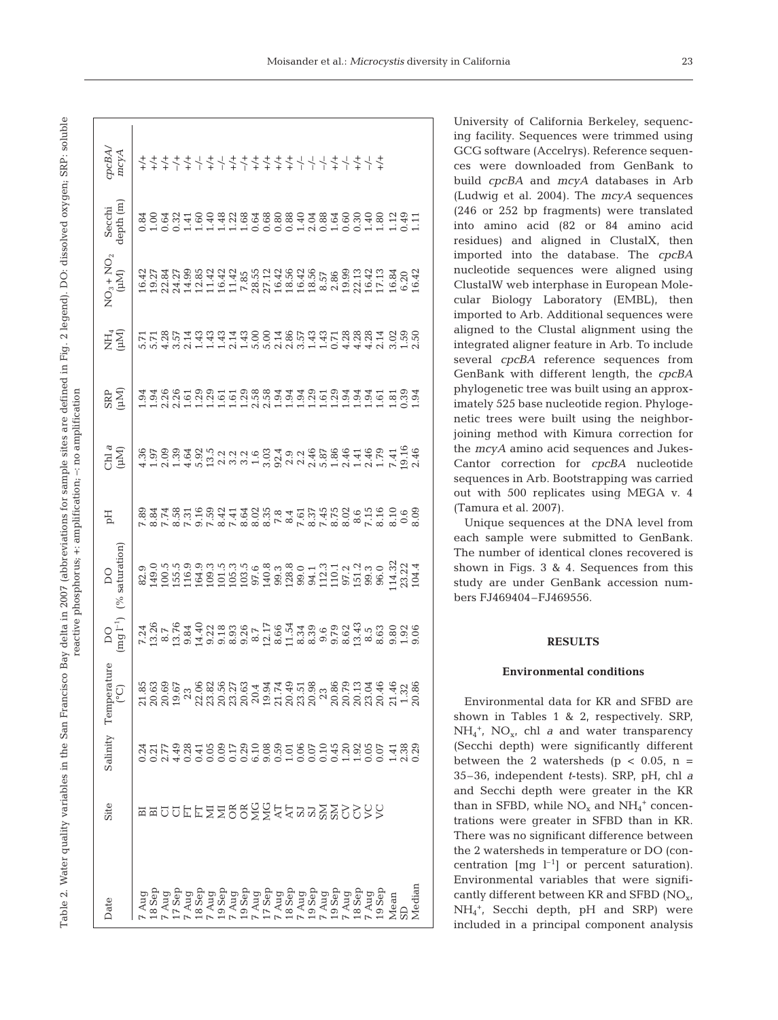| cpcBA/<br>mcyA                                                                             |                                                                                            |        |
|--------------------------------------------------------------------------------------------|--------------------------------------------------------------------------------------------|--------|
| Secchi<br>depth (m)                                                                        |                                                                                            |        |
| $NO_3 + NO_2$<br>( $\mu M$ )                                                               |                                                                                            |        |
| EŽ<br>E                                                                                    |                                                                                            |        |
| <b>CNES</b><br>ARD                                                                         |                                                                                            |        |
| $\sup_{\mathfrak{g}}$                                                                      |                                                                                            |        |
| H                                                                                          |                                                                                            |        |
| DO<br>(% saturation)                                                                       |                                                                                            |        |
| $\operatorname*{DO}_{\left( \operatorname*{mg}\left( 1^{-1}\right) \right) }$              |                                                                                            |        |
| $\begin{array}{ll} \text{Sality} & \text{Temperature} \\ & \text{(^{\circ}C)} \end{array}$ | 8386, 888534354558, 885154658<br>53665 1365365555655555555555<br>5365 13653655555555555555 |        |
|                                                                                            |                                                                                            |        |
| Site                                                                                       | <b>¤¤ㅁㅁ뵤뵤뒬뒬뜽뜽送즣츤さ</b> ¤¤옰웅S>>>>                                                            |        |
| Date                                                                                       | Mean<br>3D                                                                                 | Median |

University of California Berkeley, sequencing facility. Sequences were trimmed using GCG software (Accelrys). Reference sequences were downloaded from GenBank to build *cpcBA* and *mcyA* databases in Arb (Ludwig et al. 2004). The *mcyA* sequences (246 or 252 bp fragments) were translated into amino acid (82 or 84 amino acid residues) and aligned in ClustalX, then imported into the database. The *cpcBA* nucleotide sequences were aligned using ClustalW web interphase in European Molecular Biology Laboratory (EMBL), then imported to Arb. Additional sequences were aligned to the Clustal alignment using the integrated aligner feature in Arb. To include several *cpcBA* reference sequences from GenBank with different length, the *cpcBA* phylogenetic tree was built using an approximately 525 base nucleotide region. Phylogenetic trees were built using the neighborjoining method with Kimura correction for the *mcyA* amino acid sequences and Jukes-Cantor correction for *cpcBA* nucleotide sequences in Arb. Bootstrapping was carried out with 500 replicates using MEGA v. 4 (Tamura et al. 2007).

Unique sequences at the DNA level from each sample were submitted to GenBank. The number of identical clones recovered is shown in Figs. 3 & 4. Sequences from this study are under GenBank accession numbers FJ469404–FJ469556.

## **RESULTS**

#### **Environmental conditions**

Environmental data for KR and SFBD are shown in Tables 1 & 2, respectively. SRP, NH4 +, NOx, chl *a* and water transparency (Secchi depth) were significantly different between the 2 watersheds ( $p < 0.05$ ,  $n =$ 35–36, independent *t*-tests). SRP, pH, chl *a* and Secchi depth were greater in the KR than in SFBD, while  $NO_x$  and  $NH_4$ <sup>+</sup> concentrations were greater in SFBD than in KR. There was no significant difference between the 2 watersheds in temperature or DO (concentration  $\text{[mg } l^{-1}\text{]}$  or percent saturation). Environmental variables that were significantly different between KR and SFBD  $(NO<sub>x</sub>)$ NH4 +, Secchi depth, pH and SRP) were included in a principal component analysis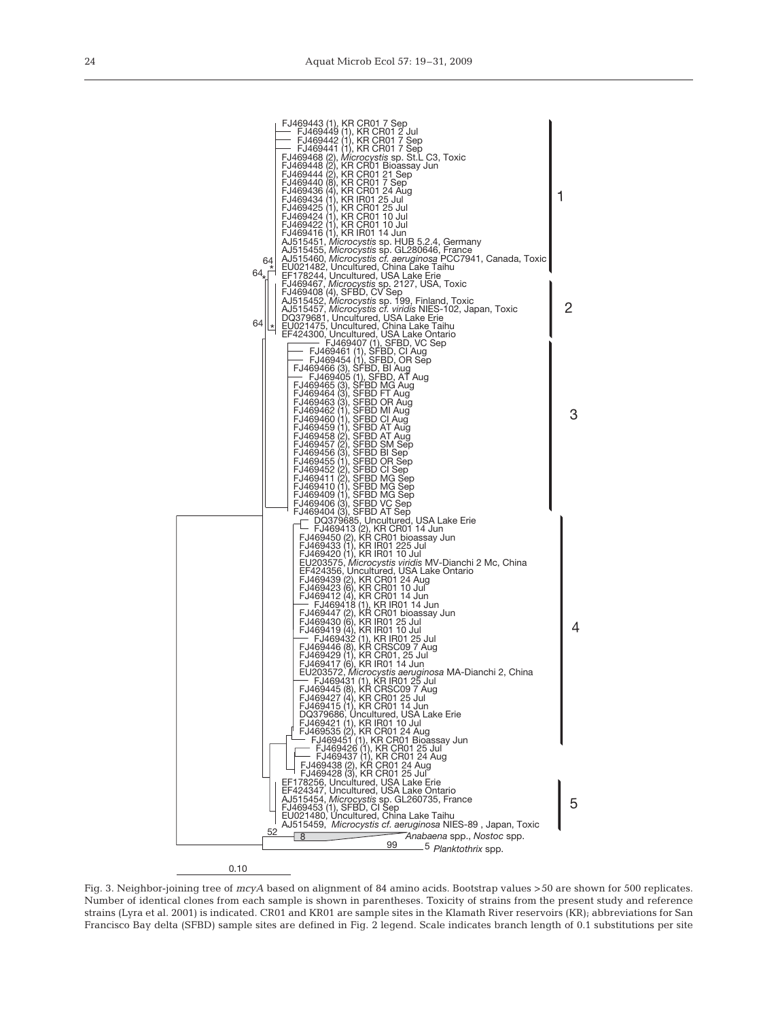

Fig. 3. Neighbor-joining tree of *mcyA* based on alignment of 84 amino acids. Bootstrap values >50 are shown for 500 replicates. Number of identical clones from each sample is shown in parentheses. Toxicity of strains from the present study and reference strains (Lyra et al. 2001) is indicated. CR01 and KR01 are sample sites in the Klamath River reservoirs (KR); abbreviations for San Francisco Bay delta (SFBD) sample sites are defined in Fig. 2 legend. Scale indicates branch length of 0.1 substitutions per site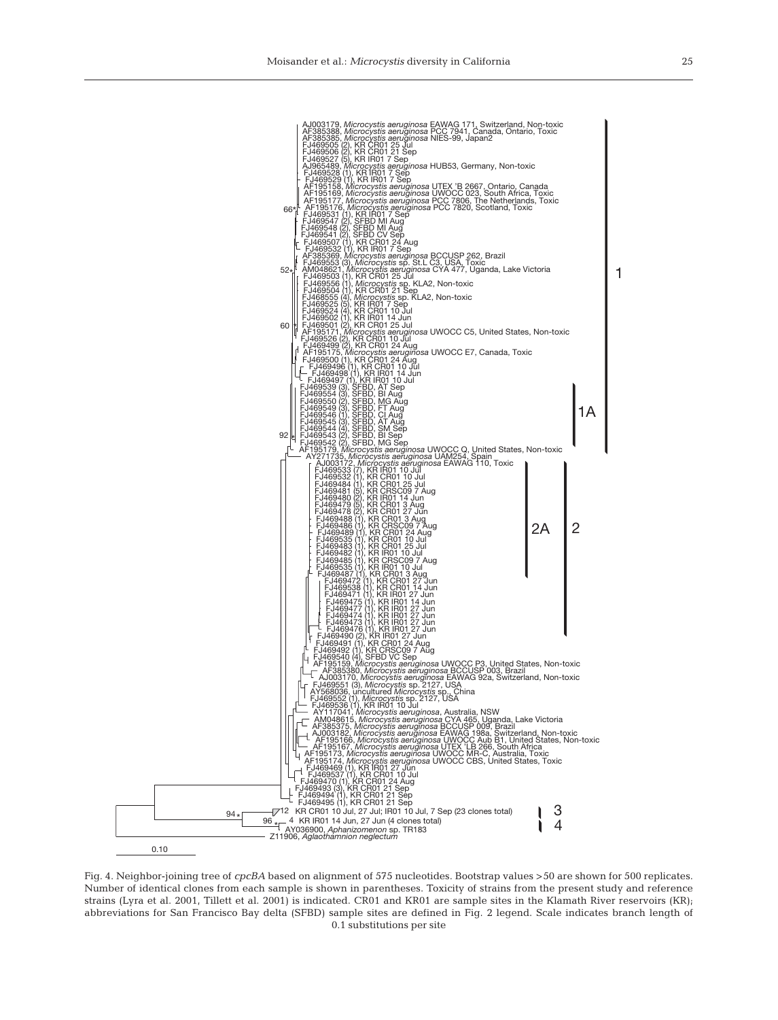

Fig. 4. Neighbor-joining tree of *cpcBA* based on alignment of 575 nucleotides. Bootstrap values >50 are shown for 500 replicates. Number of identical clones from each sample is shown in parentheses. Toxicity of strains from the present study and reference strains (Lyra et al. 2001, Tillett et al. 2001) is indicated. CR01 and KR01 are sample sites in the Klamath River reservoirs (KR); abbreviations for San Francisco Bay delta (SFBD) sample sites are defined in Fig. 2 legend. Scale indicates branch length of 0.1 substitutions per site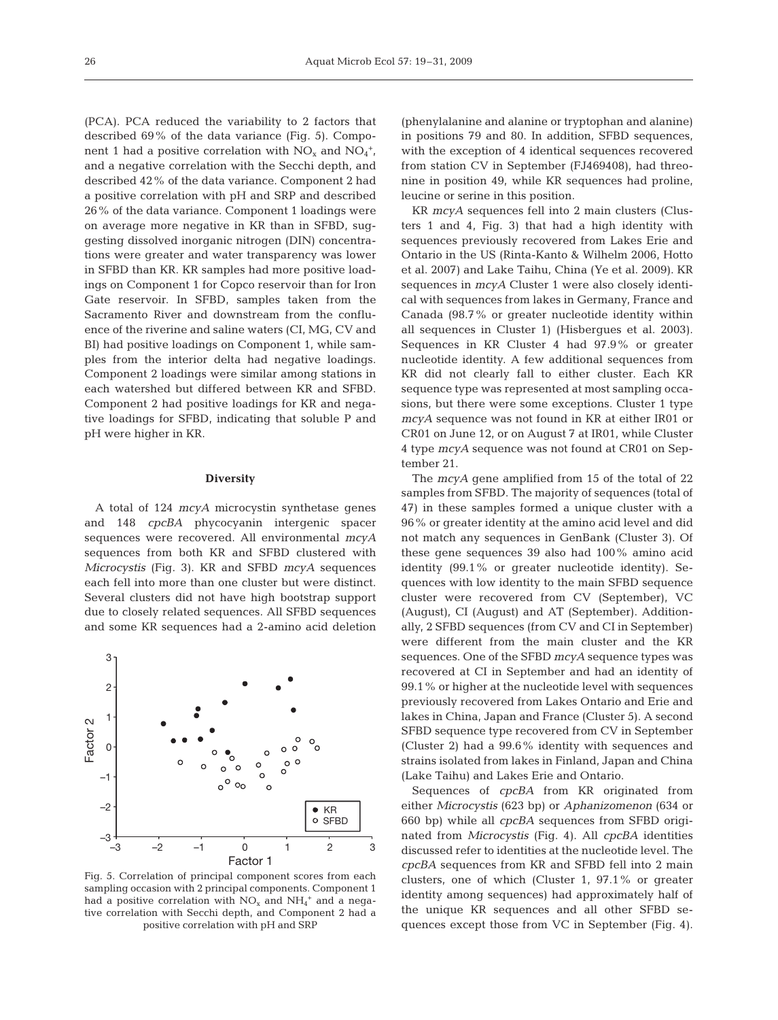(PCA). PCA reduced the variability to 2 factors that described 69% of the data variance (Fig. 5). Component 1 had a positive correlation with  $NO_x$  and  $NO_4^+$ , and a negative correlation with the Secchi depth, and described 42% of the data variance. Component 2 had a positive correlation with pH and SRP and described 26% of the data variance. Component 1 loadings were on average more negative in KR than in SFBD, suggesting dissolved inorganic nitrogen (DIN) concentrations were greater and water transparency was lower in SFBD than KR. KR samples had more positive loadings on Component 1 for Copco reservoir than for Iron Gate reservoir. In SFBD, samples taken from the Sacramento River and downstream from the confluence of the riverine and saline waters (CI, MG, CV and BI) had positive loadings on Component 1, while samples from the interior delta had negative loadings. Component 2 loadings were similar among stations in each watershed but differed between KR and SFBD. Component 2 had positive loadings for KR and negative loadings for SFBD, indicating that soluble P and pH were higher in KR.

#### **Diversity**

A total of 124 *mcyA* microcystin synthetase genes and 148 *cpcBA* phycocyanin intergenic spacer sequences were recovered. All environmental *mcyA* sequences from both KR and SFBD clustered with *Microcystis* (Fig. 3). KR and SFBD *mcyA* sequences each fell into more than one cluster but were distinct. Several clusters did not have high bootstrap support due to closely related sequences. All SFBD sequences and some KR sequences had a 2-amino acid deletion



Fig. 5. Correlation of principal component scores from each sampling occasion with 2 principal components. Component 1 had a positive correlation with  $NO_x$  and  $NH_4^+$  and a negative correlation with Secchi depth, and Component 2 had a positive correlation with pH and SRP

(phenylalanine and alanine or tryptophan and alanine) in positions 79 and 80. In addition, SFBD sequences, with the exception of 4 identical sequences recovered from station CV in September (FJ469408), had threonine in position 49, while KR sequences had proline, leucine or serine in this position.

KR *mcyA* sequences fell into 2 main clusters (Clusters 1 and 4, Fig. 3) that had a high identity with sequences previously recovered from Lakes Erie and Ontario in the US (Rinta-Kanto & Wilhelm 2006, Hotto et al. 2007) and Lake Taihu, China (Ye et al. 2009). KR sequences in *mcyA* Cluster 1 were also closely identical with sequences from lakes in Germany, France and Canada (98.7% or greater nucleotide identity within all sequences in Cluster 1) (Hisbergues et al. 2003). Sequences in KR Cluster 4 had 97.9% or greater nucleotide identity. A few additional sequences from KR did not clearly fall to either cluster. Each KR sequence type was represented at most sampling occasions, but there were some exceptions. Cluster 1 type *mcyA* sequence was not found in KR at either IR01 or CR01 on June 12, or on August 7 at IR01, while Cluster 4 type *mcyA* sequence was not found at CR01 on September 21.

The *mcyA* gene amplified from 15 of the total of 22 samples from SFBD. The majority of sequences (total of 47) in these samples formed a unique cluster with a 96% or greater identity at the amino acid level and did not match any sequences in GenBank (Cluster 3). Of these gene sequences 39 also had 100% amino acid identity (99.1% or greater nucleotide identity). Sequences with low identity to the main SFBD sequence cluster were recovered from CV (September), VC (August), CI (August) and AT (September). Additionally, 2 SFBD sequences (from CV and CI in September) were different from the main cluster and the KR sequences. One of the SFBD *mcyA* sequence types was recovered at CI in September and had an identity of 99.1% or higher at the nucleotide level with sequences previously recovered from Lakes Ontario and Erie and lakes in China, Japan and France (Cluster 5). A second SFBD sequence type recovered from CV in September (Cluster 2) had a 99.6% identity with sequences and strains isolated from lakes in Finland, Japan and China (Lake Taihu) and Lakes Erie and Ontario.

Sequences of *cpcBA* from KR originated from either *Microcystis* (623 bp) or *Aphanizomenon* (634 or 660 bp) while all *cpcBA* sequences from SFBD originated from *Microcystis* (Fig. 4). All *cpcBA* identities discussed refer to identities at the nucleotide level. The *cpcBA* sequences from KR and SFBD fell into 2 main clusters, one of which (Cluster 1, 97.1% or greater identity among sequences) had approximately half of the unique KR sequences and all other SFBD sequences except those from VC in September (Fig. 4).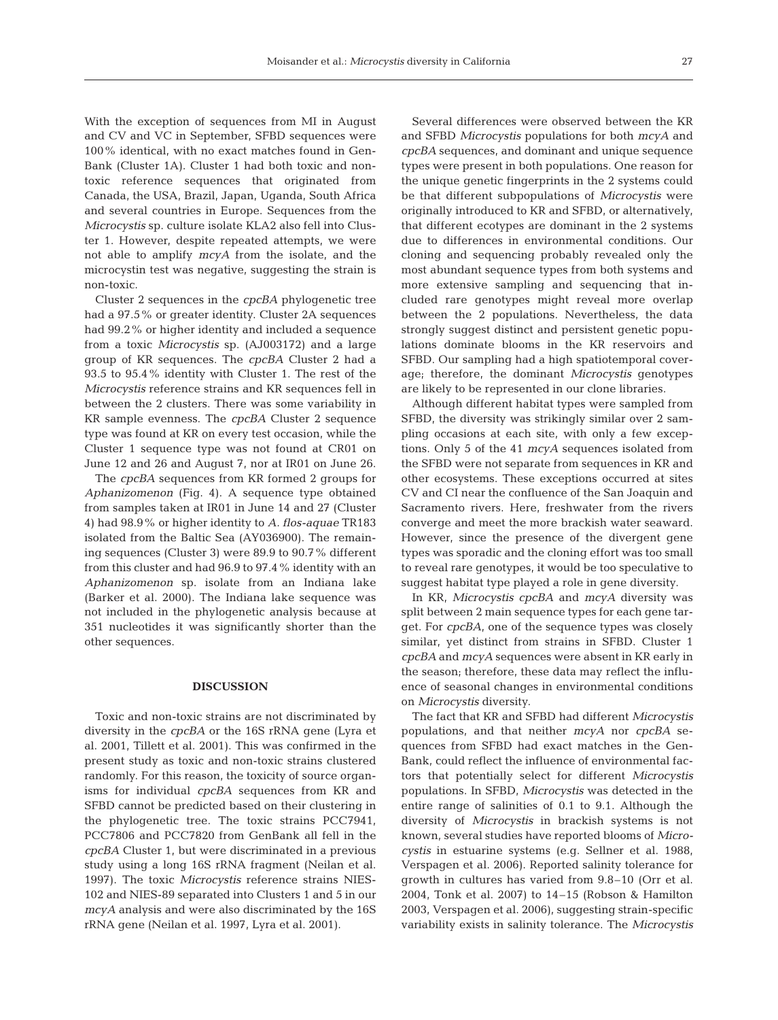With the exception of sequences from MI in August and CV and VC in September, SFBD sequences were 100% identical, with no exact matches found in Gen-Bank (Cluster 1A). Cluster 1 had both toxic and nontoxic reference sequences that originated from Canada, the USA, Brazil, Japan, Uganda, South Africa and several countries in Europe. Sequences from the *Microcystis* sp. culture isolate KLA2 also fell into Cluster 1. However, despite repeated attempts, we were not able to amplify *mcyA* from the isolate, and the microcystin test was negative, suggesting the strain is non-toxic.

Cluster 2 sequences in the *cpcBA* phylogenetic tree had a 97.5% or greater identity. Cluster 2A sequences had 99.2% or higher identity and included a sequence from a toxic *Microcystis* sp. (AJ003172) and a large group of KR sequences. The *cpcBA* Cluster 2 had a 93.5 to 95.4% identity with Cluster 1. The rest of the *Microcystis* reference strains and KR sequences fell in between the 2 clusters. There was some variability in KR sample evenness. The *cpcBA* Cluster 2 sequence type was found at KR on every test occasion, while the Cluster 1 sequence type was not found at CR01 on June 12 and 26 and August 7, nor at IR01 on June 26.

The *cpcBA* sequences from KR formed 2 groups for *Aphanizomenon* (Fig. 4). A sequence type obtained from samples taken at IR01 in June 14 and 27 (Cluster 4) had 98.9% or higher identity to *A. flos-aquae* TR183 isolated from the Baltic Sea (AY036900). The remaining sequences (Cluster 3) were 89.9 to 90.7% different from this cluster and had 96.9 to 97.4% identity with an *Aphanizomenon* sp. isolate from an Indiana lake (Barker et al. 2000). The Indiana lake sequence was not included in the phylogenetic analysis because at 351 nucleotides it was significantly shorter than the other sequences.

#### **DISCUSSION**

Toxic and non-toxic strains are not discriminated by diversity in the *cpcBA* or the 16S rRNA gene (Lyra et al. 2001, Tillett et al. 2001). This was confirmed in the present study as toxic and non-toxic strains clustered randomly. For this reason, the toxicity of source organisms for individual *cpcBA* sequences from KR and SFBD cannot be predicted based on their clustering in the phylogenetic tree. The toxic strains PCC7941, PCC7806 and PCC7820 from GenBank all fell in the *cpcBA* Cluster 1, but were discriminated in a previous study using a long 16S rRNA fragment (Neilan et al. 1997). The toxic *Microcystis* reference strains NIES-102 and NIES-89 separated into Clusters 1 and 5 in our *mcyA* analysis and were also discriminated by the 16S rRNA gene (Neilan et al. 1997, Lyra et al. 2001).

Several differences were observed between the KR and SFBD *Microcystis* populations for both *mcyA* and *cpcBA* sequences, and dominant and unique sequence types were present in both populations. One reason for the unique genetic fingerprints in the 2 systems could be that different subpopulations of *Microcystis* were originally introduced to KR and SFBD, or alternatively, that different ecotypes are dominant in the 2 systems due to differences in environmental conditions. Our cloning and sequencing probably revealed only the most abundant sequence types from both systems and more extensive sampling and sequencing that included rare genotypes might reveal more overlap between the 2 populations. Nevertheless, the data strongly suggest distinct and persistent genetic populations dominate blooms in the KR reservoirs and SFBD. Our sampling had a high spatiotemporal coverage; therefore, the dominant *Microcystis* genotypes are likely to be represented in our clone libraries.

Although different habitat types were sampled from SFBD, the diversity was strikingly similar over 2 sampling occasions at each site, with only a few exceptions. Only 5 of the 41 *mcyA* sequences isolated from the SFBD were not separate from sequences in KR and other ecosystems. These exceptions occurred at sites CV and CI near the confluence of the San Joaquin and Sacramento rivers. Here, freshwater from the rivers converge and meet the more brackish water seaward. However, since the presence of the divergent gene types was sporadic and the cloning effort was too small to reveal rare genotypes, it would be too speculative to suggest habitat type played a role in gene diversity.

In KR, *Microcystis cpcBA* and *mcyA* diversity was split between 2 main sequence types for each gene target. For *cpcBA*, one of the sequence types was closely similar, yet distinct from strains in SFBD. Cluster 1 *cpcBA* and *mcyA* sequences were absent in KR early in the season; therefore, these data may reflect the influence of seasonal changes in environmental conditions on *Microcystis* diversity.

The fact that KR and SFBD had different *Microcystis* populations, and that neither *mcyA* nor *cpcBA* sequences from SFBD had exact matches in the Gen-Bank, could reflect the influence of environmental factors that potentially select for different *Microcystis* populations. In SFBD, *Microcystis* was detected in the entire range of salinities of 0.1 to 9.1. Although the diversity of *Microcystis* in brackish systems is not known, several studies have reported blooms of *Microcystis* in estuarine systems (e.g. Sellner et al. 1988, Verspagen et al. 2006). Reported salinity tolerance for growth in cultures has varied from 9.8–10 (Orr et al. 2004, Tonk et al. 2007) to 14–15 (Robson & Hamilton 2003, Verspagen et al. 2006), suggesting strain-specific variability exists in salinity tolerance. The *Microcystis*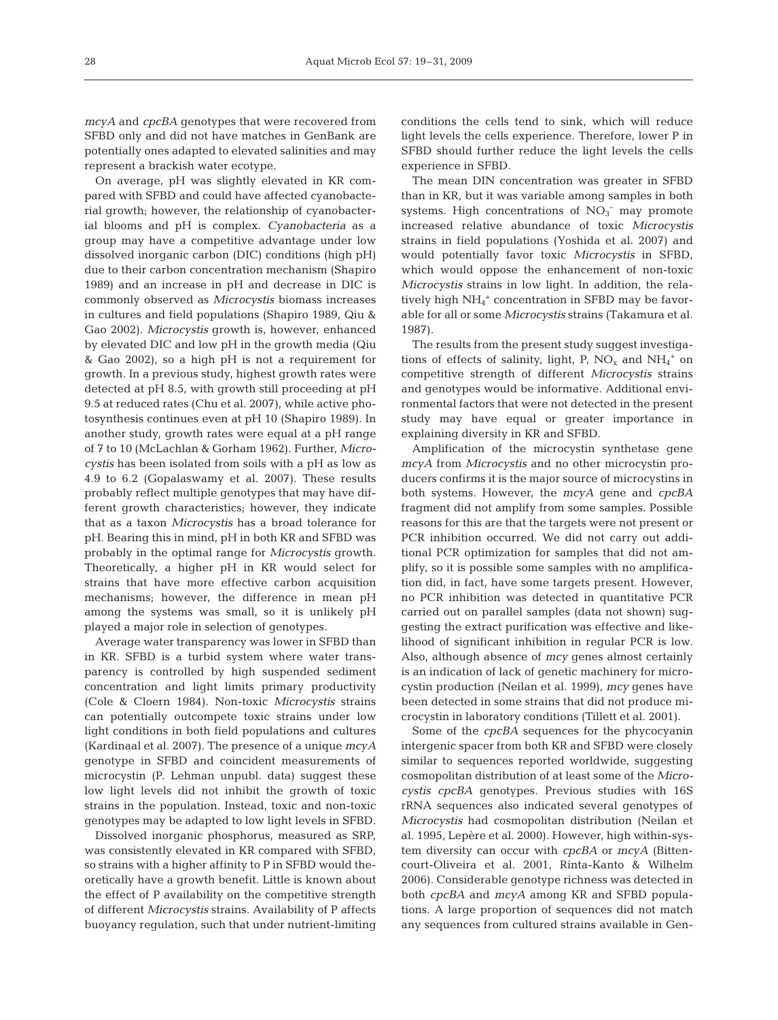*mcyA* and *cpcBA* genotypes that were recovered from SFBD only and did not have matches in GenBank are potentially ones adapted to elevated salinities and may represent a brackish water ecotype.

On average, pH was slightly elevated in KR compared with SFBD and could have affected cyanobacterial growth; however, the relationship of cyanobacterial blooms and pH is complex. *Cyanobacteria* as a group may have a competitive advantage under low dissolved inorganic carbon (DIC) conditions (high pH) due to their carbon concentration mechanism (Shapiro 1989) and an increase in pH and decrease in DIC is commonly observed as *Microcystis* biomass increases in cultures and field populations (Shapiro 1989, Qiu & Gao 2002). *Microcystis* growth is, however, enhanced by elevated DIC and low pH in the growth media (Qiu & Gao 2002), so a high pH is not a requirement for growth. In a previous study, highest growth rates were detected at pH 8.5, with growth still proceeding at pH 9.5 at reduced rates (Chu et al. 2007), while active photosynthesis continues even at pH 10 (Shapiro 1989). In another study, growth rates were equal at a pH range of 7 to 10 (McLachlan & Gorham 1962). Further, *Microcystis* has been isolated from soils with a pH as low as 4.9 to 6.2 (Gopalaswamy et al. 2007). These results probably reflect multiple genotypes that may have different growth characteristics; however, they indicate that as a taxon *Microcystis* has a broad tolerance for pH. Bearing this in mind, pH in both KR and SFBD was probably in the optimal range for *Microcystis* growth. Theoretically, a higher pH in KR would select for strains that have more effective carbon acquisition mechanisms; however, the difference in mean pH among the systems was small, so it is unlikely pH played a major role in selection of genotypes.

Average water transparency was lower in SFBD than in KR. SFBD is a turbid system where water transparency is controlled by high suspended sediment concentration and light limits primary productivity (Cole & Cloern 1984). Non-toxic *Microcystis* strains can potentially outcompete toxic strains under low light conditions in both field populations and cultures (Kardinaal et al. 2007). The presence of a unique *mcyA* genotype in SFBD and coincident measurements of microcystin (P. Lehman unpubl. data) suggest these low light levels did not inhibit the growth of toxic strains in the population. Instead, toxic and non-toxic genotypes may be adapted to low light levels in SFBD.

Dissolved inorganic phosphorus, measured as SRP, was consistently elevated in KR compared with SFBD, so strains with a higher affinity to P in SFBD would theoretically have a growth benefit. Little is known about the effect of P availability on the competitive strength of different *Microcystis* strains. Availability of P affects buoyancy regulation, such that under nutrient-limiting conditions the cells tend to sink, which will reduce light levels the cells experience. Therefore, lower P in SFBD should further reduce the light levels the cells experience in SFBD.

The mean DIN concentration was greater in SFBD than in KR, but it was variable among samples in both systems. High concentrations of  $NO<sub>3</sub><sup>-</sup>$  may promote increased relative abundance of toxic *Microcystis* strains in field populations (Yoshida et al. 2007) and would potentially favor toxic *Microcystis* in SFBD, which would oppose the enhancement of non-toxic *Microcystis* strains in low light. In addition, the relatively high  $NH_4$ <sup>+</sup> concentration in SFBD may be favorable for all or some *Microcystis* strains (Takamura et al. 1987).

The results from the present study suggest investigations of effects of salinity, light, P,  $NO_x$  and  $NH_4^+$  on competitive strength of different *Microcystis* strains and genotypes would be informative. Additional environmental factors that were not detected in the present study may have equal or greater importance in explaining diversity in KR and SFBD.

Amplification of the microcystin synthetase gene *mcyA* from *Microcystis* and no other microcystin producers confirms it is the major source of microcystins in both systems. However, the *mcyA* gene and *cpcBA* fragment did not amplify from some samples. Possible reasons for this are that the targets were not present or PCR inhibition occurred. We did not carry out additional PCR optimization for samples that did not amplify, so it is possible some samples with no amplification did, in fact, have some targets present. However, no PCR inhibition was detected in quantitative PCR carried out on parallel samples (data not shown) suggesting the extract purification was effective and likelihood of significant inhibition in regular PCR is low. Also, although absence of *mcy* genes almost certainly is an indication of lack of genetic machinery for microcystin production (Neilan et al. 1999), *mcy* genes have been detected in some strains that did not produce microcystin in laboratory conditions (Tillett et al. 2001).

Some of the *cpcBA* sequences for the phycocyanin intergenic spacer from both KR and SFBD were closely similar to sequences reported worldwide, suggesting cosmopolitan distribution of at least some of the *Microcystis cpcBA* genotypes. Previous studies with 16S rRNA sequences also indicated several genotypes of *Microcystis* had cosmopolitan distribution (Neilan et al. 1995, Lepère et al. 2000). However, high within-system diversity can occur with *cpcBA* or *mcyA* (Bittencourt-Oliveira et al. 2001, Rinta-Kanto & Wilhelm 2006). Considerable genotype richness was detected in both *cpcBA* and *mcyA* among KR and SFBD populations. A large proportion of sequences did not match any sequences from cultured strains available in Gen-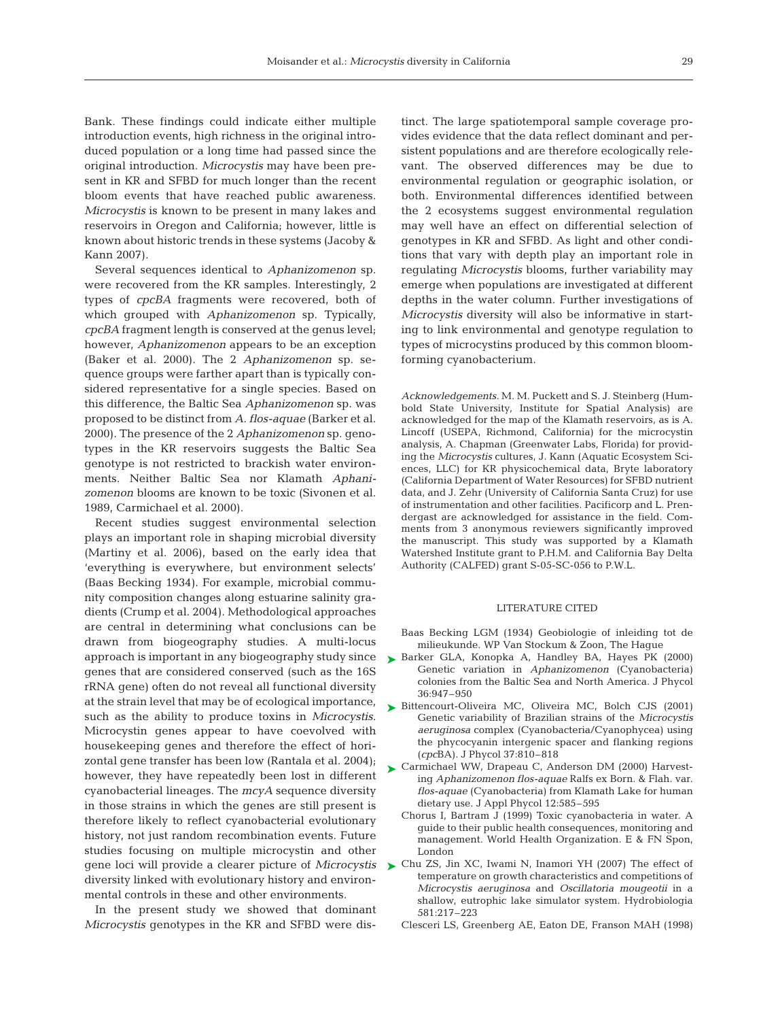Bank. These findings could indicate either multiple introduction events, high richness in the original introduced population or a long time had passed since the original introduction. *Microcystis* may have been present in KR and SFBD for much longer than the recent bloom events that have reached public awareness. *Microcystis* is known to be present in many lakes and reservoirs in Oregon and California; however, little is known about historic trends in these systems (Jacoby & Kann 2007).

Several sequences identical to *Aphanizomenon* sp. were recovered from the KR samples. Interestingly, 2 types of *cpcBA* fragments were recovered, both of which grouped with *Aphanizomenon* sp. Typically, *cpcBA* fragment length is conserved at the genus level; however, *Aphanizomenon* appears to be an exception (Baker et al. 2000). The 2 *Aphanizomenon* sp. sequence groups were farther apart than is typically considered representative for a single species. Based on this difference, the Baltic Sea *Aphanizomenon* sp. was proposed to be distinct from *A. flos-aquae* (Barker et al. 2000). The presence of the 2 *Aphanizomenon* sp. genotypes in the KR reservoirs suggests the Baltic Sea genotype is not restricted to brackish water environments. Neither Baltic Sea nor Klamath *Aphanizomenon* blooms are known to be toxic (Sivonen et al. 1989, Carmichael et al. 2000).

Recent studies suggest environmental selection plays an important role in shaping microbial diversity (Martiny et al. 2006), based on the early idea that 'everything is everywhere, but environment selects' (Baas Becking 1934). For example, microbial community composition changes along estuarine salinity gradients (Crump et al. 2004). Methodological approaches are central in determining what conclusions can be drawn from biogeography studies. A multi-locus approach is important in any biogeography study since genes that are considered conserved (such as the 16S rRNA gene) often do not reveal all functional diversity at the strain level that may be of ecological importance, such as the ability to produce toxins in *Microcystis*. Microcystin genes appear to have coevolved with housekeeping genes and therefore the effect of horizontal gene transfer has been low (Rantala et al. 2004); however, they have repeatedly been lost in different cyanobacterial lineages. The *mcyA* sequence diversity in those strains in which the genes are still present is therefore likely to reflect cyanobacterial evolutionary history, not just random recombination events. Future studies focusing on multiple microcystin and other diversity linked with evolutionary history and environmental controls in these and other environments.

In the present study we showed that dominant *Microcystis* genotypes in the KR and SFBD were distinct. The large spatiotemporal sample coverage provides evidence that the data reflect dominant and persistent populations and are therefore ecologically relevant. The observed differences may be due to environmental regulation or geographic isolation, or both. Environmental differences identified between the 2 ecosystems suggest environmental regulation may well have an effect on differential selection of genotypes in KR and SFBD. As light and other conditions that vary with depth play an important role in regulating *Microcystis* blooms, further variability may emerge when populations are investigated at different depths in the water column. Further investigations of *Microcystis* diversity will also be informative in starting to link environmental and genotype regulation to types of microcystins produced by this common bloomforming cyanobacterium.

*Acknowledgements.* M. M. Puckett and S. J. Steinberg (Humbold State University, Institute for Spatial Analysis) are acknowledged for the map of the Klamath reservoirs, as is A. Lincoff (USEPA, Richmond, California) for the microcystin analysis, A. Chapman (Greenwater Labs, Florida) for providing the *Microcystis* cultures, J. Kann (Aquatic Ecosystem Sciences, LLC) for KR physicochemical data, Bryte laboratory (California Department of Water Resources) for SFBD nutrient data, and J. Zehr (University of California Santa Cruz) for use of instrumentation and other facilities. Pacificorp and L. Prendergast are acknowledged for assistance in the field. Comments from 3 anonymous reviewers significantly improved the manuscript. This study was supported by a Klamath Watershed Institute grant to P.H.M. and California Bay Delta Authority (CALFED) grant S-05-SC-056 to P.W.L.

#### LITERATURE CITED

- Baas Becking LGM (1934) Geobiologie of inleiding tot de milieukunde. WP Van Stockum & Zoon, The Hague
- ▶ Barker GLA, Konopka A, Handley BA, Hayes PK (2000) Genetic variation in *Aphanizomenon* (Cyanobacteria) colonies from the Baltic Sea and North America. J Phycol 36:947–950
- ▶ Bittencourt-Oliveira MC, Oliveira MC, Bolch CJS (2001) Genetic variability of Brazilian strains of the *Microcystis aeruginosa* complex (Cyanobacteria/Cyanophycea) using the phycocyanin intergenic spacer and flanking regions (*cpc*BA). J Phycol 37:810–818
- ► Carmichael WW, Drapeau C, Anderson DM (2000) Harvesting *Aphanizomenon flos-aquae* Ralfs ex Born. & Flah. var. *flos-aquae* (Cyanobacteria) from Klamath Lake for human dietary use. J Appl Phycol 12:585–595
	- Chorus I, Bartram J (1999) Toxic cyanobacteria in water. A guide to their public health consequences, monitoring and management. World Health Organization. E & FN Spon, London
- gene loci will provide a clearer picture of *Microcystis* Chu ZS, Jin XC, Iwami N, Inamori YH (2007) The effect of ➤temperature on growth characteristics and competitions of *Microcystis aeruginosa* and *Oscillatoria mougeotii* in a shallow, eutrophic lake simulator system. Hydrobiologia 581:217–223
	- Clesceri LS, Greenberg AE, Eaton DE, Franson MAH (1998)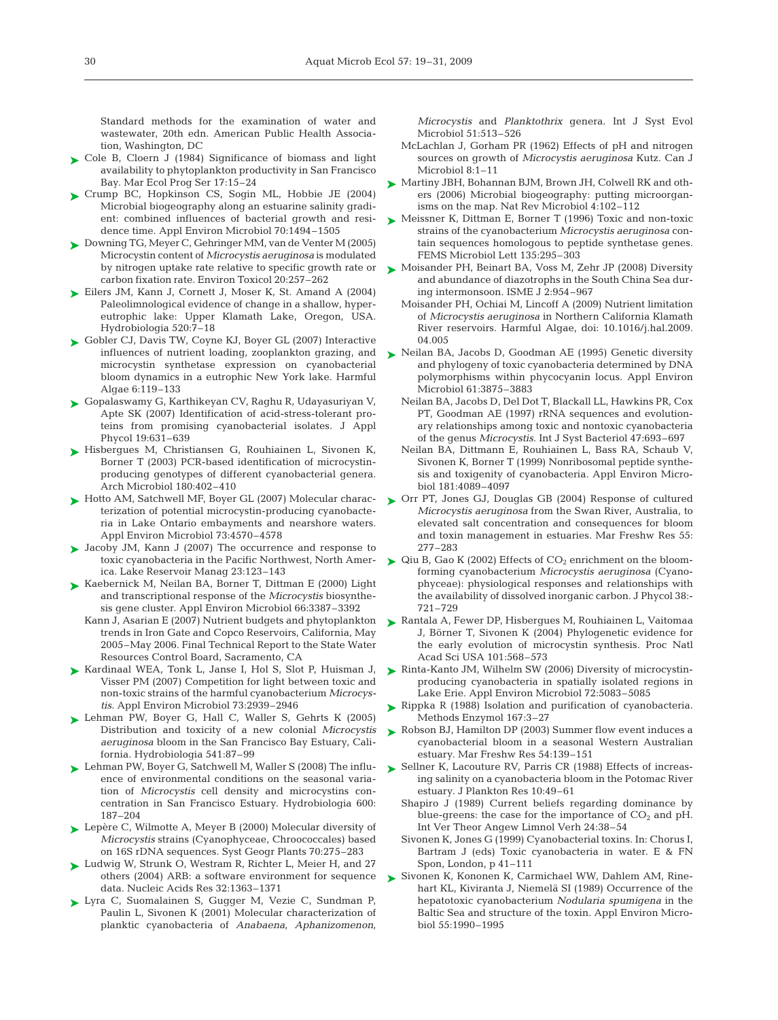Standard methods for the examination of water and wastewater, 20th edn. American Public Health Association, Washington, DC

- ► Cole B, Cloern J (1984) Significance of biomass and light availability to phytoplankton productivity in San Francisco Bay. Mar Ecol Prog Ser 17:15–24
- ► Crump BC, Hopkinson CS, Sogin ML, Hobbie JE (2004) Microbial biogeography along an estuarine salinity gradient: combined influences of bacterial growth and residence time. Appl Environ Microbiol 70:1494–1505
- ► Downing TG, Meyer C, Gehringer MM, van de Venter M (2005) Microcystin content of *Microcystis aeruginosa* is modulated carbon fixation rate. Environ Toxicol 20:257–262
- ► Eilers JM, Kann J, Cornett J, Moser K, St. Amand A (2004) Paleolimnological evidence of change in a shallow, hypereutrophic lake: Upper Klamath Lake, Oregon, USA. Hydrobiologia 520:7–18
- ► Gobler CJ, Davis TW, Coyne KJ, Boyer GL (2007) Interactive influences of nutrient loading, zooplankton grazing, and microcystin synthetase expression on cyanobacterial bloom dynamics in a eutrophic New York lake. Harmful Algae 6:119–133
- Gopalaswamy G, Karthikeyan CV, Raghu R, Udayasuriyan V, ➤ Apte SK (2007) Identification of acid-stress-tolerant proteins from promising cyanobacterial isolates. J Appl Phycol 19:631–639
- Hisbergues M, Christiansen G, Rouhiainen L, Sivonen K, ➤ Borner T (2003) PCR-based identification of microcystinproducing genotypes of different cyanobacterial genera. Arch Microbiol 180:402–410
- ► Hotto AM, Satchwell MF, Boyer GL (2007) Molecular characterization of potential microcystin-producing cyanobacteria in Lake Ontario embayments and nearshore waters. Appl Environ Microbiol 73:4570–4578
- ▶ Jacoby JM, Kann J (2007) The occurrence and response to toxic cyanobacteria in the Pacific Northwest, North America. Lake Reservoir Manag 23:123–143
- ► Kaebernick M, Neilan BA, Borner T, Dittman E (2000) Light and transcriptional response of the *Microcystis* biosynthesis gene cluster. Appl Environ Microbiol 66:3387–3392
	- Kann J, Asarian E (2007) Nutrient budgets and phytoplankton trends in Iron Gate and Copco Reservoirs, California, May 2005–May 2006. Final Technical Report to the State Water Resources Control Board, Sacramento, CA
- ▶ Kardinaal WEA, Tonk L, Janse I, Hol S, Slot P, Huisman J, Visser PM (2007) Competition for light between toxic and non-toxic strains of the harmful cyanobacterium *Microcystis.* Appl Environ Microbiol 73:2939–2946
- ► Lehman PW, Boyer G, Hall C, Waller S, Gehrts K (2005) Distribution and toxicity of a new colonial *Microcystis aeruginosa* bloom in the San Francisco Bay Estuary, California. Hydrobiologia 541:87–99
- ► Lehman PW, Boyer G, Satchwell M, Waller S (2008) The influence of environmental conditions on the seasonal variation of *Microcystis* cell density and microcystins concentration in San Francisco Estuary. Hydrobiologia 600: 187–204
- ► Lepère C, Wilmotte A, Meyer B (2000) Molecular diversity of *Microcystis* strains (Cyanophyceae, Chroococcales) based on 16S rDNA sequences. Syst Geogr Plants 70:275–283
- ► Ludwig W, Strunk O, Westram R, Richter L, Meier H, and 27 others (2004) ARB: a software environment for sequence data. Nucleic Acids Res 32:1363–1371
- Lyra C, Suomalainen S, Gugger M, Vezie C, Sundman P, ➤ Paulin L, Sivonen K (2001) Molecular characterization of planktic cyanobacteria of *Anabaena*, *Aphanizomenon*,

*Microcystis* and *Planktothrix* genera. Int J Syst Evol Microbiol 51:513–526

- McLachlan J, Gorham PR (1962) Effects of pH and nitrogen sources on growth of *Microcystis aeruginosa* Kutz. Can J Microbiol 8:1–11
- ► Martiny JBH, Bohannan BJM, Brown JH, Colwell RK and others (2006) Microbial biogeography: putting microorganisms on the map. Nat Rev Microbiol 4:102–112
- ► Meissner K, Dittman E, Borner T (1996) Toxic and non-toxic strains of the cyanobacterium *Microcystis aeruginosa* contain sequences homologous to peptide synthetase genes. FEMS Microbiol Lett 135:295–303
- by nitrogen uptake rate relative to specific growth rate or  $\blacktriangleright$  Moisander PH, Beinart BA, Voss M, Zehr JP (2008) Diversity and abundance of diazotrophs in the South China Sea during intermonsoon. ISME J 2:954–967
	- Moisander PH, Ochiai M, Lincoff A (2009) Nutrient limitation of *Microcystis aeruginosa* in Northern California Klamath River reservoirs. Harmful Algae, doi: 10.1016/j.hal.2009. 04.005
	- ► Neilan BA, Jacobs D, Goodman AE (1995) Genetic diversity and phylogeny of toxic cyanobacteria determined by DNA polymorphisms within phycocyanin locus. Appl Environ Microbiol 61:3875–3883
		- Neilan BA, Jacobs D, Del Dot T, Blackall LL, Hawkins PR, Cox PT, Goodman AE (1997) rRNA sequences and evolutionary relationships among toxic and nontoxic cyanobacteria of the genus *Microcystis.* Int J Syst Bacteriol 47:693–697
		- Neilan BA, Dittmann E, Rouhiainen L, Bass RA, Schaub V, Sivonen K, Borner T (1999) Nonribosomal peptide synthesis and toxigenity of cyanobacteria. Appl Environ Microbiol 181:4089–4097
	- ▶ Orr PT, Jones GJ, Douglas GB (2004) Response of cultured *Microcystis aeruginosa* from the Swan River, Australia, to elevated salt concentration and consequences for bloom and toxin management in estuaries. Mar Freshw Res 55: 277–283
	- $\blacktriangleright$  Qiu B, Gao K (2002) Effects of CO<sub>2</sub> enrichment on the bloomforming cyanobacterium *Microcystis aeruginosa* (Cyanophyceae): physiological responses and relationships with the availability of dissolved inorganic carbon. J Phycol 38:- 721–729
	- ► Rantala A, Fewer DP, Hisbergues M, Rouhiainen L, Vaitomaa J, Börner T, Sivonen K (2004) Phylogenetic evidence for the early evolution of microcystin synthesis. Proc Natl Acad Sci USA 101:568–573
	- ► Rinta-Kanto JM, Wilhelm SW (2006) Diversity of microcystinproducing cyanobacteria in spatially isolated regions in Lake Erie. Appl Environ Microbiol 72:5083–5085
	- ▶ Rippka R (1988) Isolation and purification of cyanobacteria. Methods Enzymol 167:3–27
	- ► Robson BJ, Hamilton DP (2003) Summer flow event induces a cyanobacterial bloom in a seasonal Western Australian estuary. Mar Freshw Res 54:139–151
	- ► Sellner K, Lacouture RV, Parris CR (1988) Effects of increasing salinity on a cyanobacteria bloom in the Potomac River estuary. J Plankton Res 10:49–61
		- Shapiro J (1989) Current beliefs regarding dominance by blue-greens: the case for the importance of  $CO<sub>2</sub>$  and pH. Int Ver Theor Angew Limnol Verh 24:38–54
		- Sivonen K, Jones G (1999) Cyanobacterial toxins. In: Chorus I, Bartram J (eds) Toxic cyanobacteria in water. E & FN Spon, London, p 41–111
	- ► Sivonen K, Kononen K, Carmichael WW, Dahlem AM, Rinehart KL, Kiviranta J, Niemelä SI (1989) Occurrence of the hepatotoxic cyanobacterium *Nodularia spumigena* in the Baltic Sea and structure of the toxin. Appl Environ Microbiol 55:1990–1995